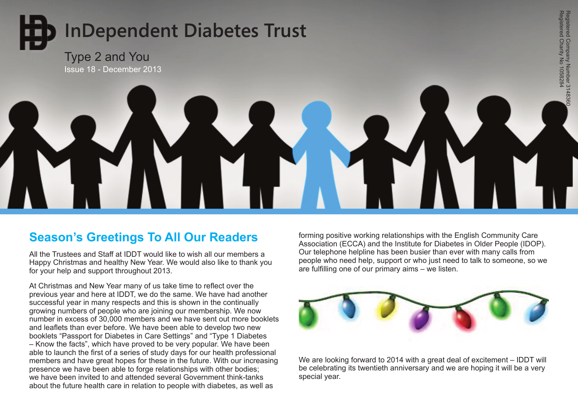# **InDependent Diabetes Trust**

# Type 2 and You Issue 18 - December 2013



# **Season's Greetings To All Our Readers**

All the Trustees and Staff at IDDT would like to wish all our members a Happy Christmas and healthy New Year. We would also like to thank you for your help and support throughout 2013.

At Christmas and New Year many of us take time to reflect over the previous year and here at IDDT, we do the same. We have had another successful year in many respects and this is shown in the continually growing numbers of people who are joining our membership. We now number in excess of 30,000 members and we have sent out more booklets and leaflets than ever before. We have been able to develop two new booklets "Passport for Diabetes in Care Settings" and "Type 1 Diabetes – Know the facts", which have proved to be very popular. We have been able to launch the first of a series of study days for our health professional members and have great hopes for these in the future. With our increasing presence we have been able to forge relationships with other bodies; we have been invited to and attended several Government think-tanks about the future health care in relation to people with diabetes, as well as

forming positive working relationships with the English Community Care Association (ECCA) and the Institute for Diabetes in Older People (IDOP). Our telephone helpline has been busier than ever with many calls from people who need help, support or who just need to talk to someone, so we are fulfilling one of our primary aims – we listen.



We are looking forward to 2014 with a great deal of excitement – IDDT will be celebrating its twentieth anniversary and we are hoping it will be a very special year.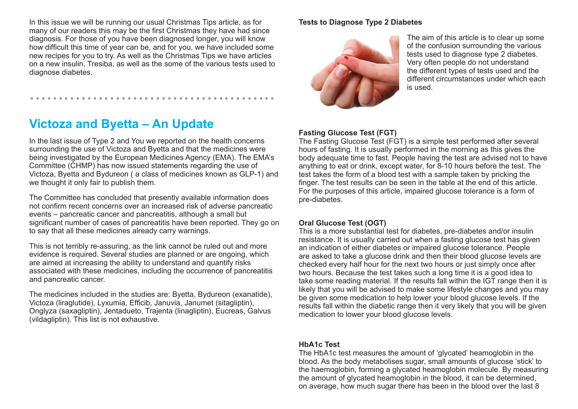In this issue we will be running our usual Christmas Tips article, as for many of our readers this may be the first Christmas they have had since diagnosis. For those of you have been diagnosed longer, you will know how difficult this time of year can be, and for you, we have included some new recipes for you to try. As well as the Christmas Tips we have articles on a new insulin, Tresiba, as well as the some of the various tests used to diagnose diabetes.

...........................................

# **Victoza and Byetta – An Update**

In the last issue of Type 2 and You we reported on the health concerns surrounding the use of Victoza and Byetta and that the medicines were being investigated by the European Medicines Agency (EMA). The EMA's Committee (CHMP) has now issued statements regarding the use of Victoza, Byetta and Bydureon ( a class of medicines known as GLP-1) and we thought it only fair to publish them.

The Committee has concluded that presently available information does not confirm recent concerns over an increased risk of adverse pancreatic events – pancreatic cancer and pancreatitis, although a small but significant number of cases of pancreatitis have been reported. They go on to say that all these medicines already carry warnings.

This is not terribly re-assuring, as the link cannot be ruled out and more evidence is required. Several studies are planned or are ongoing, which are aimed at increasing the ability to understand and quantify risks associated with these medicines, including the occurrence of pancreatitis and pancreatic cancer.

The medicines included in the studies are: Byetta, Bydureon (exanatide), Victoza (liraglutide), Lyxumia, Efficib, Januvia, Janumet (sitagliptin), Onglyza (saxagliptin), Jentadueto, Trajenta (linagliptin), Eucreas, Galvus (vildagliptin). This list is not exhaustive.

## **Tests to Diagnose Type 2 Diabetes**



The aim of this article is to clear up some of the confusion surrounding the various tests used to diagnose type 2 diabetes. Very often people do not understand the different types of tests used and the different circumstances under which each is used.

#### **Fasting Glucose Test (FGT)**

The Fasting Glucose Test (FGT) is a simple test performed after several hours of fasting. It is usually performed in the morning as this gives the body adequate time to fast. People having the test are advised not to have anything to eat or drink, except water, for 8-10 hours before the test. The test takes the form of a blood test with a sample taken by pricking the finger. The test results can be seen in the table at the end of this article. For the purposes of this article, impaired glucose tolerance is a form of pre-diabetes.

## **Oral Glucose Test (OGT)**

This is a more substantial test for diabetes, pre-diabetes and/or insulin resistance. It is usually carried out when a fasting glucose test has given an indication of either diabetes or impaired glucose tolerance. People are asked to take a glucose drink and then their blood glucose levels are checked every half hour for the next two hours or just simply once after two hours. Because the test takes such a long time it is a good idea to take some reading material. If the results fall within the IGT range then it is likely that you will be advised to make some lifestyle changes and you may be given some medication to help lower your blood glucose levels. If the results fall within the diabetic range then it very likely that you will be given medication to lower your blood glucose levels.

## **HbA1c Test**

The HbA1c test measures the amount of 'glycated' heamoglobin in the blood. As the body metabolises sugar, small amounts of glucose 'stick' to the haemoglobin, forming a glycated heamoglobin molecule. By measuring the amount of glycated heamoglobin in the blood, it can be determined, on average, how much sugar there has been in the blood over the last 8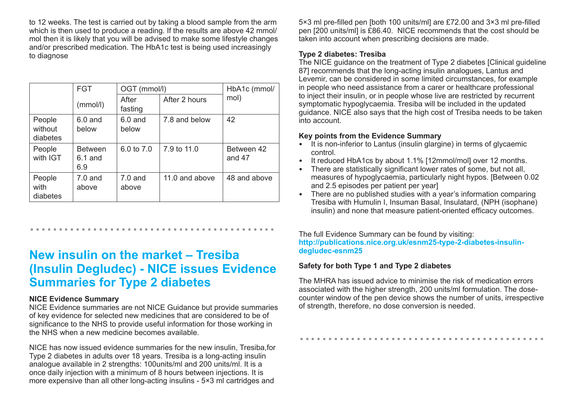to 12 weeks. The test is carried out by taking a blood sample from the arm which is then used to produce a reading. If the results are above 42 mmol/ mol then it is likely that you will be advised to make some lifestyle changes and/or prescribed medication. The HbA1c test is being used increasingly to diagnose

|                               | <b>FGT</b>                         | OGT (mmol/l)       |                | HbA1c (mmol/           |
|-------------------------------|------------------------------------|--------------------|----------------|------------------------|
|                               | (mmol/l)                           | After<br>fasting   | After 2 hours  | mol)                   |
| People<br>without<br>diabetes | $6.0$ and<br>below                 | $6.0$ and<br>below | 7.8 and below  | 42                     |
| People<br>with IGT            | <b>Between</b><br>$6.1$ and<br>6.9 | 6.0 to 7.0         | 7.9 to 11.0    | Between 42<br>and $47$ |
| People<br>with<br>diabetes    | $7.0$ and<br>above                 | $7.0$ and<br>above | 11.0 and above | 48 and above           |

**New insulin on the market – Tresiba (Insulin Degludec) - NICE issues Evidence Summaries for Type 2 diabetes**

...........................................

#### **NICE Evidence Summary**

NICE Evidence summaries are not NICE Guidance but provide summaries of key evidence for selected new medicines that are considered to be of significance to the NHS to provide useful information for those working in the NHS when a new medicine becomes available.

NICE has now issued evidence summaries for the new insulin, Tresiba,for Type 2 diabetes in adults over 18 years. Tresiba is a long-acting insulin analogue available in 2 strengths: 100units/ml and 200 units/ml. It is a once daily injection with a minimum of 8 hours between injections. It is more expensive than all other long-acting insulins - 5×3 ml cartridges and

5×3 ml pre-filled pen [both 100 units/ml] are £72.00 and 3×3 ml pre-filled pen [200 units/ml] is £86.40. NICE recommends that the cost should be taken into account when prescribing decisions are made.

# **Type 2 diabetes: Tresiba**

The NICE guidance on the treatment of Type 2 diabetes [Clinical guideline 87] recommends that the long-acting insulin analogues, Lantus and Levemir, can be considered in some limited circumstances, for example in people who need assistance from a carer or healthcare professional to inject their insulin, or in people whose live are restricted by recurrent symptomatic hypoglycaemia. Tresiba will be included in the updated guidance. NICE also says that the high cost of Tresiba needs to be taken into account.

# **Key points from the Evidence Summary**

- It is non-inferior to Lantus (insulin glargine) in terms of glycaemic control.
- It reduced HbA1cs by about 1.1% [12mmol/mol] over 12 months.
- There are statistically significant lower rates of some, but not all.
- measures of hypoglycaemia, particularly night hypos. [Between 0.02 and 2.5 episodes per patient per year]
- There are no published studies with a year's information comparing Tresiba with Humulin I, Insuman Basal, Insulatard, (NPH (isophane) insulin) and none that measure patient-oriented efficacy outcomes.

The full Evidence Summary can be found by visiting: **http://publications.nice.org.uk/esnm25-type-2-diabetes-insulindegludec-esnm25**

# **Safety for both Type 1 and Type 2 diabetes**

The MHRA has issued advice to minimise the risk of medication errors associated with the higher strength, 200 units/ml formulation. The dosecounter window of the pen device shows the number of units, irrespective of strength, therefore, no dose conversion is needed.

...........................................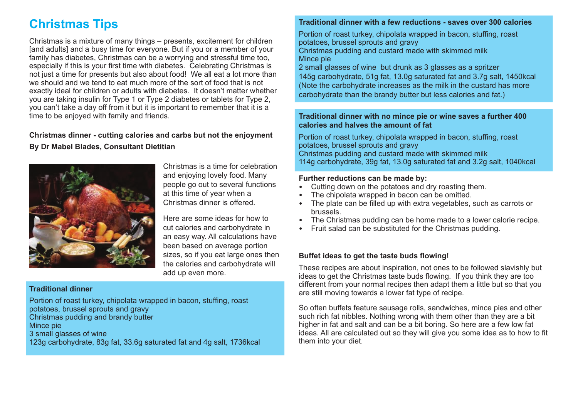# **Christmas Tips**

Christmas is a mixture of many things – presents, excitement for children [and adults] and a busy time for everyone. But if you or a member of your family has diabetes, Christmas can be a worrying and stressful time too, especially if this is your first time with diabetes. Celebrating Christmas is not just a time for presents but also about food! We all eat a lot more than we should and we tend to eat much more of the sort of food that is not exactly ideal for children or adults with diabetes. It doesn't matter whether you are taking insulin for Type 1 or Type 2 diabetes or tablets for Type 2, you can't take a day off from it but it is important to remember that it is a time to be enjoyed with family and friends.

# **Christmas dinner - cutting calories and carbs but not the enjoyment By Dr Mabel Blades, Consultant Dietitian**



Christmas is a time for celebration and enjoying lovely food. Many people go out to several functions at this time of year when a Christmas dinner is offered.

Here are some ideas for how to cut calories and carbohydrate in an easy way. All calculations have been based on average portion sizes, so if you eat large ones then the calories and carbohydrate will add up even more.

## **Traditional dinner**

Portion of roast turkey, chipolata wrapped in bacon, stuffing, roast potatoes, brussel sprouts and gravy Christmas pudding and brandy butter Mince pie 3 small glasses of wine 123g carbohydrate, 83g fat, 33.6g saturated fat and 4g salt, 1736kcal

#### **Traditional dinner with a few reductions - saves over 300 calories**

Portion of roast turkey, chipolata wrapped in bacon, stuffing, roast potatoes, brussel sprouts and gravy Christmas pudding and custard made with skimmed milk Mince pie

2 small glasses of wine but drunk as 3 glasses as a spritzer 145g carbohydrate, 51g fat, 13.0g saturated fat and 3.7g salt, 1450kcal (Note the carbohydrate increases as the milk in the custard has more carbohydrate than the brandy butter but less calories and fat.)

#### **Traditional dinner with no mince pie or wine saves a further 400 calories and halves the amount of fat**

Portion of roast turkey, chipolata wrapped in bacon, stuffing, roast potatoes, brussel sprouts and gravy Christmas pudding and custard made with skimmed milk 114g carbohydrate, 39g fat, 13.0g saturated fat and 3.2g salt, 1040kcal

#### **Further reductions can be made by:**

- Cutting down on the potatoes and dry roasting them.
- The chipolata wrapped in bacon can be omitted.
- The plate can be filled up with extra vegetables, such as carrots or brussels.
- The Christmas pudding can be home made to a lower calorie recipe.
- Fruit salad can be substituted for the Christmas pudding.

## **Buffet ideas to get the taste buds flowing!**

These recipes are about inspiration, not ones to be followed slavishly but ideas to get the Christmas taste buds flowing. If you think they are too different from your normal recipes then adapt them a little but so that you are still moving towards a lower fat type of recipe.

So often buffets feature sausage rolls, sandwiches, mince pies and other such rich fat nibbles. Nothing wrong with them other than they are a bit higher in fat and salt and can be a bit boring. So here are a few low fat ideas. All are calculated out so they will give you some idea as to how to fit them into your diet.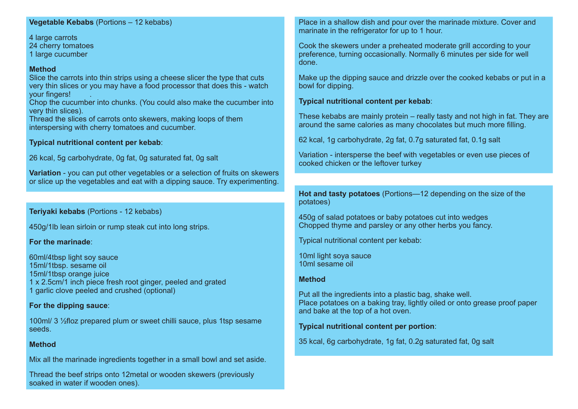#### **Vegetable Kebabs** (Portions – 12 kebabs)

4 large carrots 24 cherry tomatoes 1 large cucumber

#### **Method**

Slice the carrots into thin strips using a cheese slicer the type that cuts very thin slices or you may have a food processor that does this - watch your fingers! .

Chop the cucumber into chunks. (You could also make the cucumber into very thin slices).

Thread the slices of carrots onto skewers, making loops of them interspersing with cherry tomatoes and cucumber.

#### **Typical nutritional content per kebab**:

26 kcal, 5g carbohydrate, 0g fat, 0g saturated fat, 0g salt

**Variation** - you can put other vegetables or a selection of fruits on skewers or slice up the vegetables and eat with a dipping sauce. Try experimenting.

#### **Teriyaki kebabs** (Portions - 12 kebabs)

450g/1lb lean sirloin or rump steak cut into long strips.

#### **For the marinade**:

60ml/4tbsp light soy sauce 15ml/1tbsp. sesame oil 15ml/1tbsp orange juice 1 x 2.5cm/1 inch piece fresh root ginger, peeled and grated 1 garlic clove peeled and crushed (optional)

#### **For the dipping sauce**:

100ml/ 3 ½floz prepared plum or sweet chilli sauce, plus 1tsp sesame seeds.

#### **Method**

Mix all the marinade ingredients together in a small bowl and set aside.

Thread the beef strips onto 12metal or wooden skewers (previously soaked in water if wooden ones).

Place in a shallow dish and pour over the marinade mixture. Cover and marinate in the refrigerator for up to 1 hour.

Cook the skewers under a preheated moderate grill according to your preference, turning occasionally. Normally 6 minutes per side for well done.

Make up the dipping sauce and drizzle over the cooked kebabs or put in a bowl for dipping.

#### **Typical nutritional content per kebab**:

These kebabs are mainly protein – really tasty and not high in fat. They are around the same calories as many chocolates but much more filling.

62 kcal, 1g carbohydrate, 2g fat, 0.7g saturated fat, 0.1g salt

Variation - intersperse the beef with vegetables or even use pieces of cooked chicken or the leftover turkey

**Hot and tasty potatoes** (Portions—12 depending on the size of the potatoes)

450g of salad potatoes or baby potatoes cut into wedges Chopped thyme and parsley or any other herbs you fancy.

Typical nutritional content per kebab:

10ml light soya sauce 10ml sesame oil

#### **Method**

Put all the ingredients into a plastic bag, shake well. Place potatoes on a baking tray, lightly oiled or onto grease proof paper and bake at the top of a hot oven.

**Typical nutritional content per portion**:

35 kcal, 6g carbohydrate, 1g fat, 0.2g saturated fat, 0g salt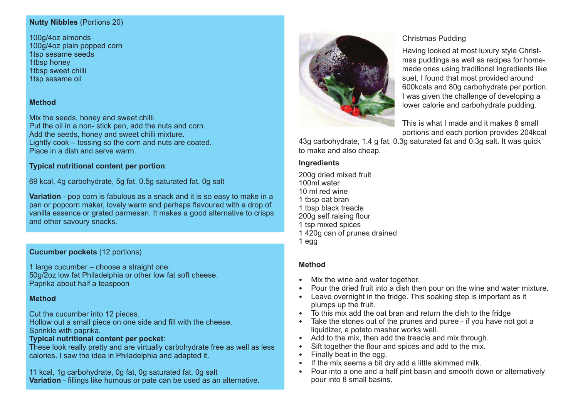#### **Nutty Nibbles** (Portions 20)

100g/4oz almonds 100g/4oz plain popped corn 1tsp sesame seeds 1tbsp honey 1tbsp sweet chilli 1tsp sesame oil

## **Method**

Mix the seeds, honey and sweet chilli. Put the oil in a non- stick pan, add the nuts and corn. Add the seeds, honey and sweet chilli mixture. Lightly cook – tossing so the corn and nuts are coated. Place in a dish and serve warm.

#### **Typical nutritional content per portion**:

69 kcal, 4g carbohydrate, 5g fat, 0.5g saturated fat, 0g salt

**Variation** - pop corn is fabulous as a snack and it is so easy to make in a pan or popcorn maker, lovely warm and perhaps flavoured with a drop of vanilla essence or grated parmesan. It makes a good alternative to crisps and other savoury snacks.

# **Cucumber pockets** (12 portions)

1 large cucumber – choose a straight one. 50g/2oz low fat Philadelphia or other low fat soft cheese. Paprika about half a teaspoon

#### **Method**

Cut the cucumber into 12 pieces.

Hollow out a small piece on one side and fill with the cheese. Sprinkle with paprika.

#### **Typical nutritional content per pocket**:

These look really pretty and are virtually carbohydrate free as well as less calories. I saw the idea in Philadelphia and adapted it.

11 kcal, 1g carbohydrate, 0g fat, 0g saturated fat, 0g salt **Variation** - fillings like humous or pate can be used as an alternative.



#### Christmas Pudding

Having looked at most luxury style Christmas puddings as well as recipes for homemade ones using traditional ingredients like suet, I found that most provided around 600kcals and 80g carbohydrate per portion. I was given the challenge of developing a lower calorie and carbohydrate pudding.

This is what I made and it makes 8 small portions and each portion provides 204kcal

43g carbohydrate, 1.4 g fat, 0.3g saturated fat and 0.3g salt. It was quick to make and also cheap.

#### **Ingredients**

200g dried mixed fruit 100ml water 10 ml red wine 1 tbsp oat bran 1 tbsp black treacle 200g self raising flour 1 tsp mixed spices 1 420g can of prunes drained 1 egg

## **Method**

- Mix the wine and water together.
- Pour the dried fruit into a dish then pour on the wine and water mixture.
- Leave overnight in the fridge. This soaking step is important as it plumps up the fruit.
- To this mix add the oat bran and return the dish to the fridge
- Take the stones out of the prunes and puree if you have not got a liquidizer, a potato masher works well.
- Add to the mix, then add the treacle and mix through.
- Sift together the flour and spices and add to the mix.
- Finally beat in the egg.
- If the mix seems a bit dry add a little skimmed milk.
- Pour into a one and a half pint basin and smooth down or alternatively pour into 8 small basins.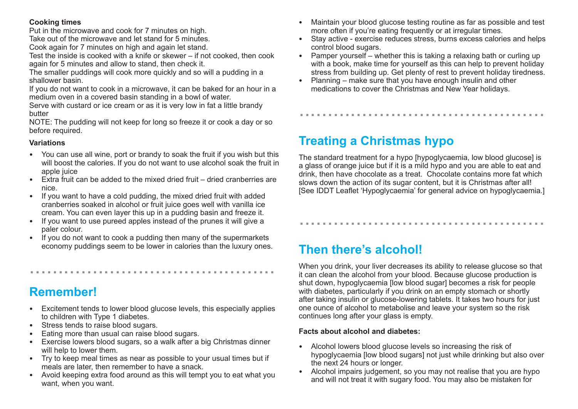# **Cooking times**

Put in the microwave and cook for 7 minutes on high.

Take out of the microwave and let stand for 5 minutes.

Cook again for 7 minutes on high and again let stand.

Test the inside is cooked with a knife or skewer – if not cooked, then cook again for 5 minutes and allow to stand, then check it.

The smaller puddings will cook more quickly and so will a pudding in a shallower basin.

If you do not want to cook in a microwave, it can be baked for an hour in a medium oven in a covered basin standing in a bowl of water.

Serve with custard or ice cream or as it is very low in fat a little brandy butter

NOTE: The pudding will not keep for long so freeze it or cook a day or so before required.

# **Variations**

- You can use all wine, port or brandy to soak the fruit if you wish but this will boost the calories. If you do not want to use alcohol soak the fruit in apple juice
- Extra fruit can be added to the mixed dried fruit dried cranberries are nice.
- If you want to have a cold pudding, the mixed dried fruit with added cranberries soaked in alcohol or fruit juice goes well with vanilla ice cream. You can even layer this up in a pudding basin and freeze it.
- If you want to use pureed apples instead of the prunes it will give a paler colour.
- If you do not want to cook a pudding then many of the supermarkets economy puddings seem to be lower in calories than the luxury ones.

...........................................

# **Remember!**

- Excitement tends to lower blood glucose levels, this especially applies to children with Type 1 diabetes.
- Stress tends to raise blood sugars.
- Eating more than usual can raise blood sugars.
- Exercise lowers blood sugars, so a walk after a big Christmas dinner will help to lower them.
- Try to keep meal times as near as possible to your usual times but if meals are later, then remember to have a snack.
- Avoid keeping extra food around as this will tempt you to eat what you want, when you want.
- Maintain your blood glucose testing routine as far as possible and test more often if you're eating frequently or at irregular times.
- Stay active exercise reduces stress, burns excess calories and helps control blood sugars.
- Pamper yourself whether this is taking a relaxing bath or curling up with a book, make time for yourself as this can help to prevent holiday stress from building up. Get plenty of rest to prevent holiday tiredness.

...........................................

• Planning – make sure that you have enough insulin and other medications to cover the Christmas and New Year holidays.

# **Treating a Christmas hypo**

The standard treatment for a hypo [hypoglycaemia, low blood glucose] is a glass of orange juice but if it is a mild hypo and you are able to eat and drink, then have chocolate as a treat. Chocolate contains more fat which slows down the action of its sugar content, but it is Christmas after all! [See IDDT Leaflet 'Hypoglycaemia' for general advice on hypoglycaemia.]

...........................................

# **Then there's alcohol!**

When you drink, your liver decreases its ability to release glucose so that it can clean the alcohol from your blood. Because glucose production is shut down, hypoglycaemia [low blood sugar] becomes a risk for people with diabetes, particularly if you drink on an empty stomach or shortly after taking insulin or glucose-lowering tablets. It takes two hours for just one ounce of alcohol to metabolise and leave your system so the risk continues long after your glass is empty.

## **Facts about alcohol and diabetes:**

- Alcohol lowers blood glucose levels so increasing the risk of hypoglycaemia [low blood sugars] not just while drinking but also over the next 24 hours or longer.
- Alcohol impairs judgement, so you may not realise that you are hypo and will not treat it with sugary food. You may also be mistaken for